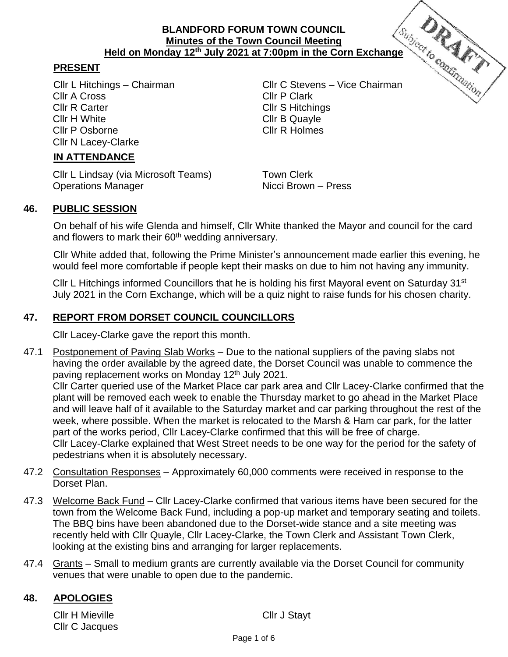# **BLANDFORD FORUM TOWN COUNCIL Minutes of the Town Council Meeting Held on Monday 12<sup>th</sup> July 2021 at 7:00pm in the Corn Exchange**<br>
Corputation Council Meeting<br>
Corputation Corn Exchange<br>
Corputation Cornel Cornel Cornel Cornel Cornel Construction

### **PRESENT**

Cllr A Cross Cllr P Clark Cllr R Carter Cllr S Hitchings Cllr H White Cllr B Quayle Cllr P Osborne Cllr R Holmes Cllr N Lacey-Clarke

**IN ATTENDANCE**

Cllr L Lindsay (via Microsoft Teams) Town Clerk Operations Manager Nicci Brown – Press

Cllr L Hitchings – Chairman Cllr C Stevens – Vice Chairman

# **46. PUBLIC SESSION**

On behalf of his wife Glenda and himself, Cllr White thanked the Mayor and council for the card and flowers to mark their 60<sup>th</sup> wedding anniversary.

Cllr White added that, following the Prime Minister's announcement made earlier this evening, he would feel more comfortable if people kept their masks on due to him not having any immunity.

Cllr L Hitchings informed Councillors that he is holding his first Mayoral event on Saturday 31<sup>st</sup> July 2021 in the Corn Exchange, which will be a quiz night to raise funds for his chosen charity.

# **47. REPORT FROM DORSET COUNCIL COUNCILLORS**

Cllr Lacey-Clarke gave the report this month.

- 47.1 Postponement of Paving Slab Works Due to the national suppliers of the paving slabs not having the order available by the agreed date, the Dorset Council was unable to commence the paving replacement works on Monday 12<sup>th</sup> July 2021. Cllr Carter queried use of the Market Place car park area and Cllr Lacey-Clarke confirmed that the plant will be removed each week to enable the Thursday market to go ahead in the Market Place and will leave half of it available to the Saturday market and car parking throughout the rest of the week, where possible. When the market is relocated to the Marsh & Ham car park, for the latter part of the works period, Cllr Lacey-Clarke confirmed that this will be free of charge. Cllr Lacey-Clarke explained that West Street needs to be one way for the period for the safety of pedestrians when it is absolutely necessary.
- 47.2 Consultation Responses Approximately 60,000 comments were received in response to the Dorset Plan.
- 47.3 Welcome Back Fund Cllr Lacey-Clarke confirmed that various items have been secured for the town from the Welcome Back Fund, including a pop-up market and temporary seating and toilets. The BBQ bins have been abandoned due to the Dorset-wide stance and a site meeting was recently held with Cllr Quayle, Cllr Lacey-Clarke, the Town Clerk and Assistant Town Clerk, looking at the existing bins and arranging for larger replacements.
- 47.4 Grants Small to medium grants are currently available via the Dorset Council for community venues that were unable to open due to the pandemic.

#### **48. APOLOGIES**

Cllr H Mieville **Cllr** J Stayt Cllr C Jacques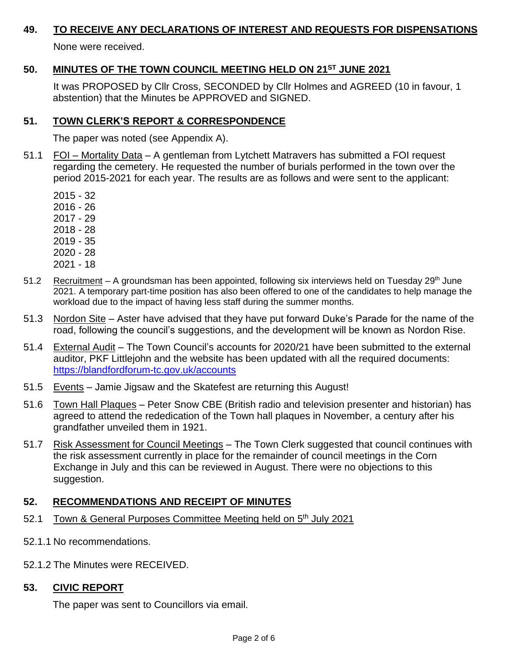#### **49. TO RECEIVE ANY DECLARATIONS OF INTEREST AND REQUESTS FOR DISPENSATIONS**

None were received.

# **50. MINUTES OF THE TOWN COUNCIL MEETING HELD ON 21ST JUNE 2021**

It was PROPOSED by Cllr Cross, SECONDED by Cllr Holmes and AGREED (10 in favour, 1 abstention) that the Minutes be APPROVED and SIGNED.

#### **51. TOWN CLERK'S REPORT & CORRESPONDENCE**

The paper was noted (see Appendix A).

- 51.1 FOI Mortality Data A gentleman from Lytchett Matravers has submitted a FOI request regarding the cemetery. He requested the number of burials performed in the town over the period 2015-2021 for each year. The results are as follows and were sent to the applicant:
	- 2015 32
	- 2016 26
	- 2017 29
	- 2018 28
	- 2019 35
	- 2020 28
	- 2021 18
- 51.2 Recruitment A groundsman has been appointed, following six interviews held on Tuesday 29<sup>th</sup> June 2021. A temporary part-time position has also been offered to one of the candidates to help manage the workload due to the impact of having less staff during the summer months.
- 51.3 Nordon Site Aster have advised that they have put forward Duke's Parade for the name of the road, following the council's suggestions, and the development will be known as Nordon Rise.
- 51.4 External Audit The Town Council's accounts for 2020/21 have been submitted to the external auditor, PKF Littlejohn and the website has been updated with all the required documents: <https://blandfordforum-tc.gov.uk/accounts>
- 51.5 Events Jamie Jigsaw and the Skatefest are returning this August!
- 51.6 Town Hall Plaques Peter Snow CBE (British radio and television presenter and historian) has agreed to attend the rededication of the Town hall plaques in November, a century after his grandfather unveiled them in 1921.
- 51.7 Risk Assessment for Council Meetings The Town Clerk suggested that council continues with the risk assessment currently in place for the remainder of council meetings in the Corn Exchange in July and this can be reviewed in August. There were no objections to this suggestion.

# **52. RECOMMENDATIONS AND RECEIPT OF MINUTES**

- 52.1 Town & General Purposes Committee Meeting held on 5<sup>th</sup> July 2021
- 52.1.1 No recommendations.
- 52.1.2 The Minutes were RECEIVED.

# **53. CIVIC REPORT**

The paper was sent to Councillors via email.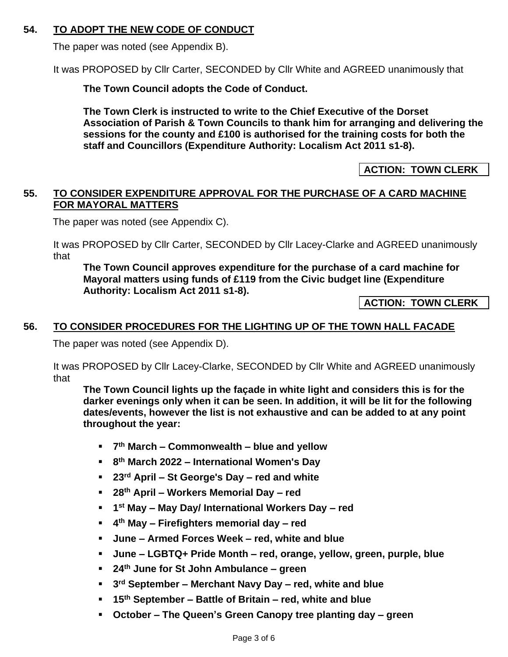# **54. TO ADOPT THE NEW CODE OF CONDUCT**

The paper was noted (see Appendix B).

It was PROPOSED by Cllr Carter, SECONDED by Cllr White and AGREED unanimously that

**The Town Council adopts the Code of Conduct.** 

**The Town Clerk is instructed to write to the Chief Executive of the Dorset Association of Parish & Town Councils to thank him for arranging and delivering the sessions for the county and £100 is authorised for the training costs for both the staff and Councillors (Expenditure Authority: Localism Act 2011 s1-8).**

**ACTION: TOWN CLERK**

# **55. TO CONSIDER EXPENDITURE APPROVAL FOR THE PURCHASE OF A CARD MACHINE FOR MAYORAL MATTERS**

The paper was noted (see Appendix C).

It was PROPOSED by Cllr Carter, SECONDED by Cllr Lacey-Clarke and AGREED unanimously that

**The Town Council approves expenditure for the purchase of a card machine for Mayoral matters using funds of £119 from the Civic budget line (Expenditure Authority: Localism Act 2011 s1-8).**

**ACTION: TOWN CLERK**

# **56. TO CONSIDER PROCEDURES FOR THE LIGHTING UP OF THE TOWN HALL FACADE**

The paper was noted (see Appendix D).

It was PROPOSED by Cllr Lacey-Clarke, SECONDED by Cllr White and AGREED unanimously that

**The Town Council lights up the façade in white light and considers this is for the darker evenings only when it can be seen. In addition, it will be lit for the following dates/events, however the list is not exhaustive and can be added to at any point throughout the year:** 

- **7 th March – Commonwealth – blue and yellow**
- **8 th March 2022 – International Women's Day**
- **23rd April – St George's Day – red and white**
- **28th April – Workers Memorial Day – red**
- **1 st May – May Day/ International Workers Day – red**
- **4 th May – Firefighters memorial day – red**
- **June – Armed Forces Week – red, white and blue**
- **June – LGBTQ+ Pride Month – red, orange, yellow, green, purple, blue**
- **24th June for St John Ambulance – green**
- **3 rd September – Merchant Navy Day – red, white and blue**
- **15th September – Battle of Britain – red, white and blue**
- **October – The Queen's Green Canopy tree planting day – green**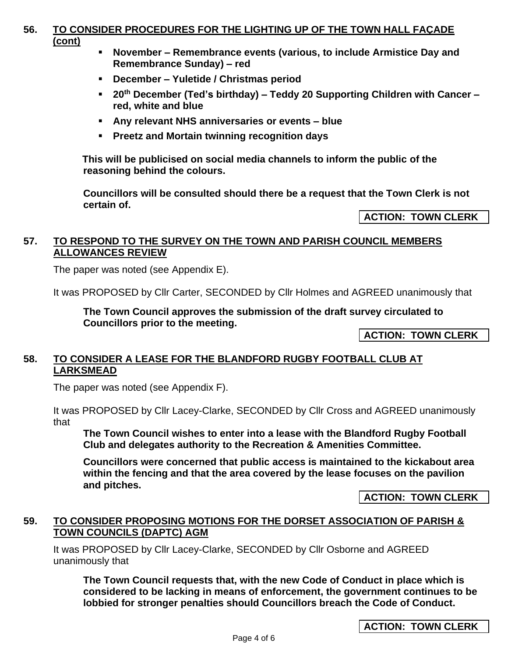#### **56. TO CONSIDER PROCEDURES FOR THE LIGHTING UP OF THE TOWN HALL FAÇADE (cont)**

- **November – Remembrance events (various, to include Armistice Day and Remembrance Sunday) – red**
- **December – Yuletide / Christmas period**
- **20th December (Ted's birthday) – Teddy 20 Supporting Children with Cancer – red, white and blue**
- **Any relevant NHS anniversaries or events – blue**
- **Preetz and Mortain twinning recognition days**

**This will be publicised on social media channels to inform the public of the reasoning behind the colours.** 

**Councillors will be consulted should there be a request that the Town Clerk is not certain of.** 

**ACTION: TOWN CLERK**

#### **57. TO RESPOND TO THE SURVEY ON THE TOWN AND PARISH COUNCIL MEMBERS ALLOWANCES REVIEW**

The paper was noted (see Appendix E).

It was PROPOSED by Cllr Carter, SECONDED by Cllr Holmes and AGREED unanimously that

**The Town Council approves the submission of the draft survey circulated to Councillors prior to the meeting.**

**ACTION: TOWN CLERK**

#### **58. TO CONSIDER A LEASE FOR THE BLANDFORD RUGBY FOOTBALL CLUB AT LARKSMEAD**

The paper was noted (see Appendix F).

It was PROPOSED by Cllr Lacey-Clarke, SECONDED by Cllr Cross and AGREED unanimously that

**The Town Council wishes to enter into a lease with the Blandford Rugby Football Club and delegates authority to the Recreation & Amenities Committee.**

**Councillors were concerned that public access is maintained to the kickabout area within the fencing and that the area covered by the lease focuses on the pavilion and pitches.** 

**ACTION: TOWN CLERK**

#### **59. TO CONSIDER PROPOSING MOTIONS FOR THE DORSET ASSOCIATION OF PARISH & TOWN COUNCILS (DAPTC) AGM**

It was PROPOSED by Cllr Lacey-Clarke, SECONDED by Cllr Osborne and AGREED unanimously that

**The Town Council requests that, with the new Code of Conduct in place which is considered to be lacking in means of enforcement, the government continues to be lobbied for stronger penalties should Councillors breach the Code of Conduct.** 

**ACTION: TOWN CLERK**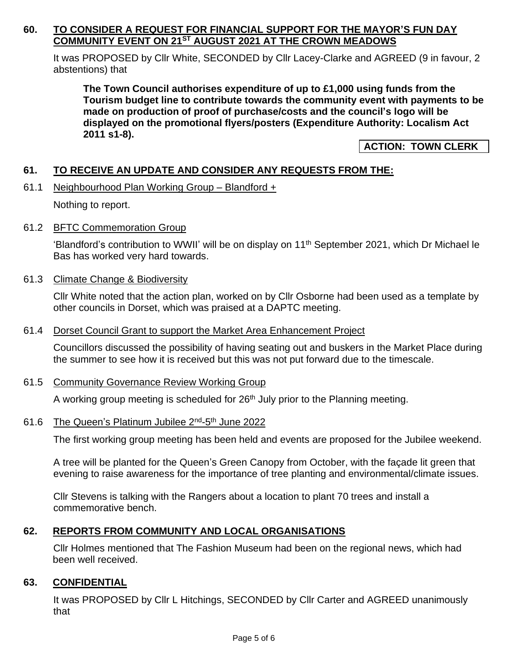#### **60. TO CONSIDER A REQUEST FOR FINANCIAL SUPPORT FOR THE MAYOR'S FUN DAY COMMUNITY EVENT ON 21ST AUGUST 2021 AT THE CROWN MEADOWS**

It was PROPOSED by Cllr White, SECONDED by Cllr Lacey-Clarke and AGREED (9 in favour, 2 abstentions) that

**The Town Council authorises expenditure of up to £1,000 using funds from the Tourism budget line to contribute towards the community event with payments to be made on production of proof of purchase/costs and the council's logo will be displayed on the promotional flyers/posters (Expenditure Authority: Localism Act 2011 s1-8).**

**ACTION: TOWN CLERK**

# **61. TO RECEIVE AN UPDATE AND CONSIDER ANY REQUESTS FROM THE:**

61.1 Neighbourhood Plan Working Group – Blandford +

Nothing to report.

61.2 BFTC Commemoration Group

'Blandford's contribution to WWII' will be on display on 11th September 2021, which Dr Michael le Bas has worked very hard towards.

61.3 Climate Change & Biodiversity

Cllr White noted that the action plan, worked on by Cllr Osborne had been used as a template by other councils in Dorset, which was praised at a DAPTC meeting.

#### 61.4 Dorset Council Grant to support the Market Area Enhancement Project

Councillors discussed the possibility of having seating out and buskers in the Market Place during the summer to see how it is received but this was not put forward due to the timescale.

#### 61.5 Community Governance Review Working Group

A working group meeting is scheduled for  $26<sup>th</sup>$  July prior to the Planning meeting.

#### 61.6 The Queen's Platinum Jubilee 2<sup>nd</sup>-5<sup>th</sup> June 2022

The first working group meeting has been held and events are proposed for the Jubilee weekend.

A tree will be planted for the Queen's Green Canopy from October, with the façade lit green that evening to raise awareness for the importance of tree planting and environmental/climate issues.

Cllr Stevens is talking with the Rangers about a location to plant 70 trees and install a commemorative bench.

#### **62. REPORTS FROM COMMUNITY AND LOCAL ORGANISATIONS**

Cllr Holmes mentioned that The Fashion Museum had been on the regional news, which had been well received.

#### **63. CONFIDENTIAL**

It was PROPOSED by Cllr L Hitchings, SECONDED by Cllr Carter and AGREED unanimously that